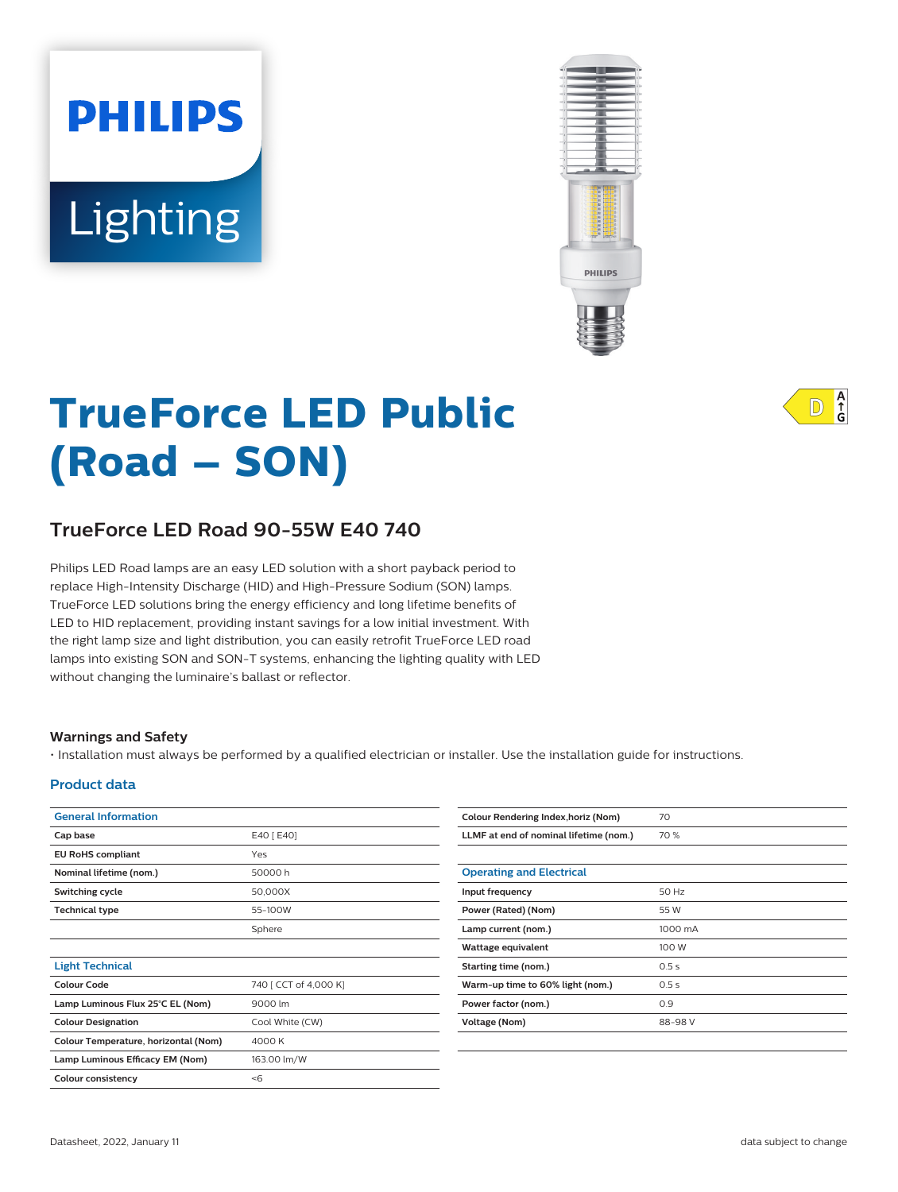# Lighting

**PHILIPS** 



# **TrueForce LED Public (Road – SON)**

# **TrueForce LED Road 90-55W E40 740**

Philips LED Road lamps are an easy LED solution with a short payback period to replace High-Intensity Discharge (HID) and High-Pressure Sodium (SON) lamps. TrueForce LED solutions bring the energy efficiency and long lifetime benefits of LED to HID replacement, providing instant savings for a low initial investment. With the right lamp size and light distribution, you can easily retrofit TrueForce LED road lamps into existing SON and SON-T systems, enhancing the lighting quality with LED without changing the luminaire's ballast or reflector.

#### **Warnings and Safety**

• Installation must always be performed by a qualified electrician or installer. Use the installation guide for instructions.

#### **Product data**

| <b>General Information</b>           |                       | Colour I |
|--------------------------------------|-----------------------|----------|
| Cap base                             | E40 [ E40]            | LLMF a   |
| <b>EU RoHS compliant</b>             | Yes                   |          |
| Nominal lifetime (nom.)              | 50000 h               | Operat   |
| Switching cycle                      | 50,000X               | Input fr |
| <b>Technical type</b>                | 55-100W               | Power (  |
|                                      | Sphere                | Lamp ci  |
|                                      |                       | Wattag   |
| <b>Light Technical</b>               |                       | Starting |
| <b>Colour Code</b>                   | 740 [ CCT of 4,000 K] | Warm-u   |
| Lamp Luminous Flux 25°C EL (Nom)     | 9000 lm               | Power f  |
| <b>Colour Designation</b>            | Cool White (CW)       | Voltage  |
| Colour Temperature, horizontal (Nom) | 4000 K                |          |
| Lamp Luminous Efficacy EM (Nom)      | 163.00 lm/W           |          |
| <b>Colour consistency</b>            | < 6                   |          |
|                                      |                       |          |

| Colour Rendering Index, horiz (Nom)    | 70      |
|----------------------------------------|---------|
| LLMF at end of nominal lifetime (nom.) | 70 %    |
|                                        |         |
| <b>Operating and Electrical</b>        |         |
| Input frequency                        | 50 Hz   |
| Power (Rated) (Nom)                    | 55 W    |
| Lamp current (nom.)                    | 1000 mA |
| Wattage equivalent                     | 100 W   |
| Starting time (nom.)                   | 0.5s    |
| Warm-up time to 60% light (nom.)       | 0.5s    |
| Power factor (nom.)                    | 0.9     |
| Voltage (Nom)                          | 88-98 V |
|                                        |         |

 $A$ <sub>G</sub>  $ID$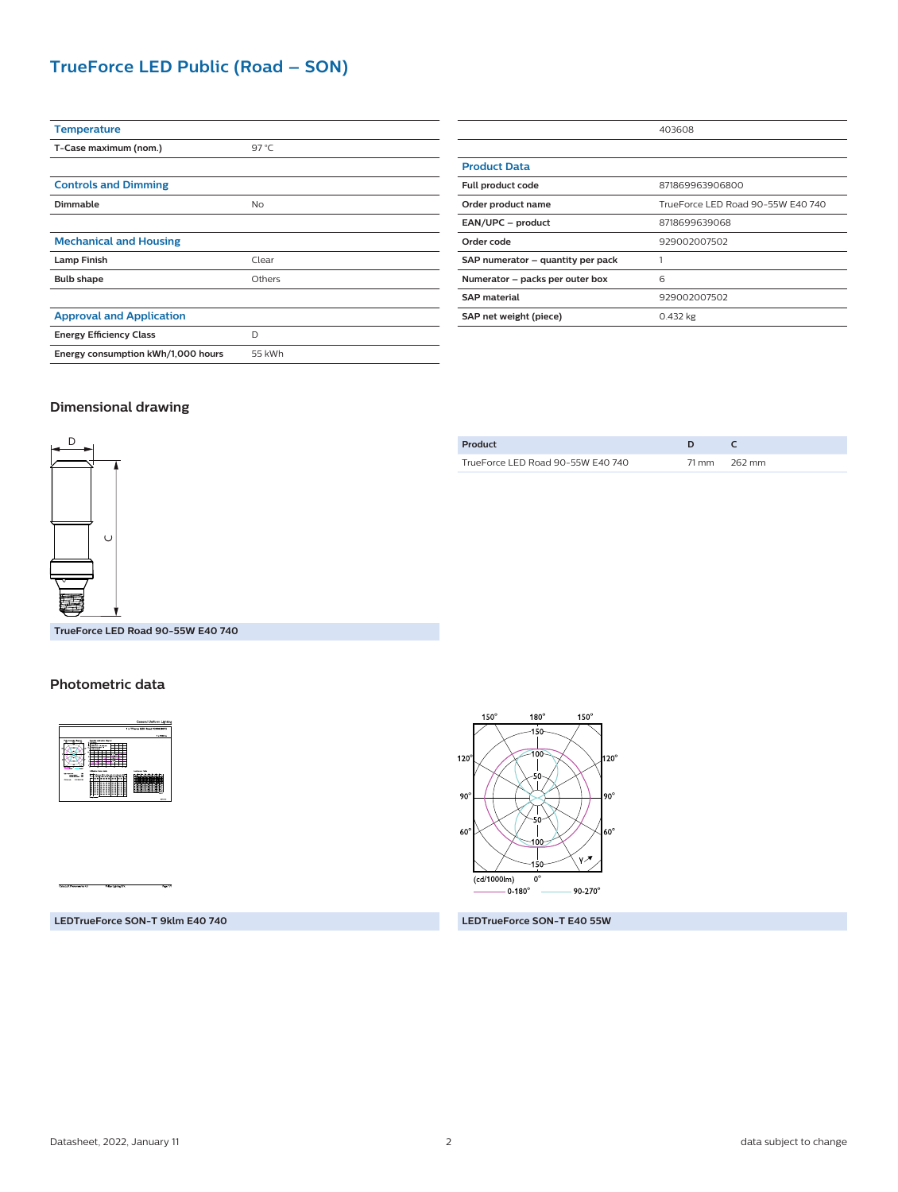## **TrueForce LED Public (Road – SON)**

| <b>Temperature</b>                 |        |
|------------------------------------|--------|
| T-Case maximum (nom.)              | 97 °C  |
|                                    |        |
| <b>Controls and Dimming</b>        |        |
| <b>Dimmable</b>                    | No     |
|                                    |        |
| <b>Mechanical and Housing</b>      |        |
| <b>Lamp Finish</b>                 | Clear  |
| <b>Bulb shape</b>                  | Others |
|                                    |        |
| <b>Approval and Application</b>    |        |
| <b>Energy Efficiency Class</b>     | D      |
| Energy consumption kWh/1,000 hours | 55 kWh |

|                                   | 403608                            |  |
|-----------------------------------|-----------------------------------|--|
|                                   |                                   |  |
| <b>Product Data</b>               |                                   |  |
| Full product code                 | 871869963906800                   |  |
| Order product name                | TrueForce LED Road 90-55W E40 740 |  |
| EAN/UPC - product                 | 8718699639068                     |  |
| Order code                        | 929002007502                      |  |
| SAP numerator - quantity per pack |                                   |  |
| Numerator - packs per outer box   | 6                                 |  |
| <b>SAP</b> material               | 929002007502                      |  |
| SAP net weight (piece)            | $0.432$ kg                        |  |

#### **Dimensional drawing**



| Product                           |       |        |
|-----------------------------------|-------|--------|
| TrueForce LED Road 90-55W E40 740 | 71 mm | 262 mm |

**TrueForce LED Road 90-55W E40 740**

#### **Photometric data**



 $150^\circ$  $180^\circ$  $150^\circ$  $120^\circ$  $120^\circ$ H  $90^\circ$  $90^{\circ}$  $60^\circ$  $60^{\circ}$ v 2  $(cd/1000lm)$  $\overline{0}^{\circ}$  $-0.180^{\circ}$  $90 - 270^{\circ}$ 

**LEDTrueForce SON-T 9klm E40 740 LEDTrueForce SON-T E40 55W**